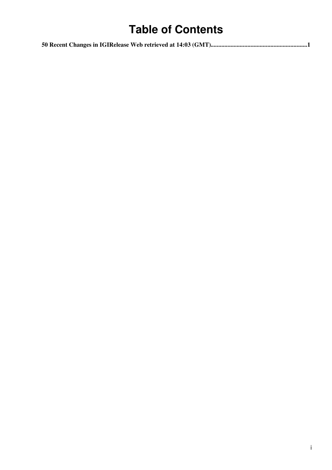# **Table of Contents**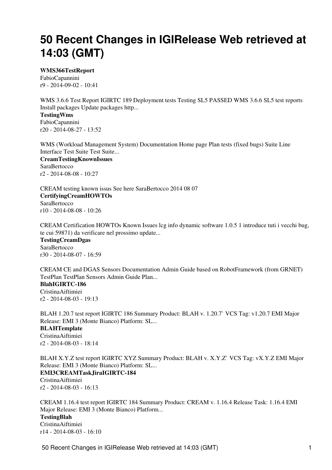# <span id="page-1-0"></span>**50 Recent Changes in IGIRelease Web retrieved at 14:03 (GMT)**

#### **[WMS366TestReport](https://wiki-igi.cnaf.infn.it/twiki/bin/view/IGIRelease/WMS366TestReport)**

[FabioCapannini](https://wiki-igi.cnaf.infn.it/twiki/bin/edit/Main/FabioCapannini?topicparent=IGIRelease.WebChanges;nowysiwyg=0) r9 - [2014-09-02 - 10:41](https://wiki-igi.cnaf.infn.it/twiki/bin/rdiff/IGIRelease/WMS366TestReport) 

WMS 3.6.6 Test Report IGIRTC 189 Deployment tests Testing SL5 PASSED WMS 3.6.6 SL5 test reports Install packages Update packages http... **[TestingWms](https://wiki-igi.cnaf.infn.it/twiki/bin/view/IGIRelease/TestingWms)** [FabioCapannini](https://wiki-igi.cnaf.infn.it/twiki/bin/edit/Main/FabioCapannini?topicparent=IGIRelease.WebChanges;nowysiwyg=0)

r20 - [2014-08-27 - 13:52](https://wiki-igi.cnaf.infn.it/twiki/bin/rdiff/IGIRelease/TestingWms)

WMS (Workload Management System) Documentation Home page Plan tests (fixed bugs) Suite Line Interface Test Suite Test Suite...

**[CreamTestingKnownIssues](https://wiki-igi.cnaf.infn.it/twiki/bin/view/IGIRelease/CreamTestingKnownIssues) [SaraBertocco](https://wiki-igi.cnaf.infn.it/twiki/bin/edit/Main/SaraBertocco?topicparent=IGIRelease.WebChanges;nowysiwyg=0)** r2 - [2014-08-08 - 10:27](https://wiki-igi.cnaf.infn.it/twiki/bin/rdiff/IGIRelease/CreamTestingKnownIssues) 

CREAM testing known issus See here SaraBertocco 2014 08 07 **[CertifyingCreamHOWTOs](https://wiki-igi.cnaf.infn.it/twiki/bin/view/IGIRelease/CertifyingCreamHOWTOs) [SaraBertocco](https://wiki-igi.cnaf.infn.it/twiki/bin/edit/Main/SaraBertocco?topicparent=IGIRelease.WebChanges;nowysiwyg=0)** r10 - [2014-08-08 - 10:26](https://wiki-igi.cnaf.infn.it/twiki/bin/rdiff/IGIRelease/CertifyingCreamHOWTOs)

CREAM Certification HOWTOs Known Issues lcg info dynamic software 1.0.5 1 introduce tuti i vecchi bug, te cui 59871) da verificare nel prossimo update...

**[TestingCreamDgas](https://wiki-igi.cnaf.infn.it/twiki/bin/view/IGIRelease/TestingCreamDgas)** [SaraBertocco](https://wiki-igi.cnaf.infn.it/twiki/bin/edit/Main/SaraBertocco?topicparent=IGIRelease.WebChanges;nowysiwyg=0) r30 - [2014-08-07 - 16:59](https://wiki-igi.cnaf.infn.it/twiki/bin/rdiff/IGIRelease/TestingCreamDgas)

CREAM CE and DGAS Sensors Documentation Admin Guide based on RobotFramework (from GRNET) TestPlan TestPlan Sensors Admin Guide Plan... **[BlahIGIRTC-186](https://wiki-igi.cnaf.infn.it/twiki/bin/view/IGIRelease/BlahIGIRTC-186)** [CristinaAiftimiei](https://wiki-igi.cnaf.infn.it/twiki/bin/edit/Main/CristinaAiftimiei?topicparent=IGIRelease.WebChanges;nowysiwyg=0) r2 - [2014-08-03 - 19:13](https://wiki-igi.cnaf.infn.it/twiki/bin/rdiff/IGIRelease/BlahIGIRTC-186) 

BLAH 1.20.7 test report IGIRTC 186 Summary Product: BLAH v. 1.20.7` VCS Tag: v1.20.7 EMI Major Release: EMI 3 (Monte Bianco) Platform: SL... **[BLAHTemplate](https://wiki-igi.cnaf.infn.it/twiki/bin/view/IGIRelease/BLAHTemplate)** [CristinaAiftimiei](https://wiki-igi.cnaf.infn.it/twiki/bin/edit/Main/CristinaAiftimiei?topicparent=IGIRelease.WebChanges;nowysiwyg=0) r2 - [2014-08-03 - 18:14](https://wiki-igi.cnaf.infn.it/twiki/bin/rdiff/IGIRelease/BLAHTemplate) 

BLAH X.Y.Z test report IGIRTC XYZ Summary Product: BLAH v. X.Y.Z` VCS Tag: vX.Y.Z EMI Major Release: EMI 3 (Monte Bianco) Platform: SL... **[EMI3CREAMTaskJiraIGIRTC-184](https://wiki-igi.cnaf.infn.it/twiki/bin/view/IGIRelease/EMI3CREAMTaskJiraIGIRTC-184)** [CristinaAiftimiei](https://wiki-igi.cnaf.infn.it/twiki/bin/edit/Main/CristinaAiftimiei?topicparent=IGIRelease.WebChanges;nowysiwyg=0) r2 - [2014-08-03 - 16:13](https://wiki-igi.cnaf.infn.it/twiki/bin/rdiff/IGIRelease/EMI3CREAMTaskJiraIGIRTC-184) 

CREAM 1.16.4 test report IGIRTC 184 Summary Product: CREAM v. 1.16.4 Release Task: 1.16.4 EMI Major Release: EMI 3 (Monte Bianco) Platform... **[TestingBlah](https://wiki-igi.cnaf.infn.it/twiki/bin/view/IGIRelease/TestingBlah)** [CristinaAiftimiei](https://wiki-igi.cnaf.infn.it/twiki/bin/edit/Main/CristinaAiftimiei?topicparent=IGIRelease.WebChanges;nowysiwyg=0) r14 - [2014-08-03 - 16:10](https://wiki-igi.cnaf.infn.it/twiki/bin/rdiff/IGIRelease/TestingBlah)

50 Recent Changes in IGIRelease Web retrieved at 14:03 (GMT) 1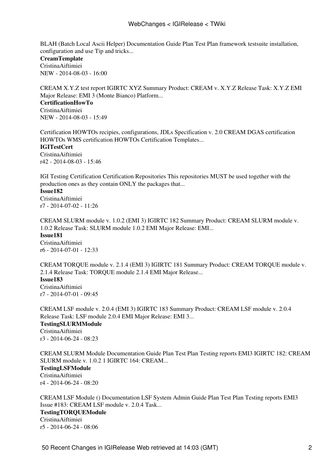BLAH (Batch Local Ascii Helper) Documentation Guide Plan Test Plan framework testsuite installation, configuration and use Tip and tricks...

# **[CreamTemplate](https://wiki-igi.cnaf.infn.it/twiki/bin/view/IGIRelease/CreamTemplate)**

[CristinaAiftimiei](https://wiki-igi.cnaf.infn.it/twiki/bin/edit/Main/CristinaAiftimiei?topicparent=IGIRelease.WebChanges;nowysiwyg=0) NEW - [2014-08-03 - 16:00](https://wiki-igi.cnaf.infn.it/twiki/bin/rdiff/IGIRelease/CreamTemplate) 

CREAM X.Y.Z test report IGIRTC XYZ Summary Product: CREAM v. X.Y.Z Release Task: X.Y.Z EMI Major Release: EMI 3 (Monte Bianco) Platform... **[CertificationHowTo](https://wiki-igi.cnaf.infn.it/twiki/bin/view/IGIRelease/CertificationHowTo)** [CristinaAiftimiei](https://wiki-igi.cnaf.infn.it/twiki/bin/edit/Main/CristinaAiftimiei?topicparent=IGIRelease.WebChanges;nowysiwyg=0) NEW - [2014-08-03 - 15:49](https://wiki-igi.cnaf.infn.it/twiki/bin/rdiff/IGIRelease/CertificationHowTo) 

Certification HOWTOs recipies, configurations, JDLs Specification v. 2.0 CREAM DGAS certification HOWTOs WMS certification HOWTOs Certification Templates... **[IGITestCert](https://wiki-igi.cnaf.infn.it/twiki/bin/view/IGIRelease/IGITestCert)** [CristinaAiftimiei](https://wiki-igi.cnaf.infn.it/twiki/bin/edit/Main/CristinaAiftimiei?topicparent=IGIRelease.WebChanges;nowysiwyg=0) r42 - [2014-08-03 - 15:46](https://wiki-igi.cnaf.infn.it/twiki/bin/rdiff/IGIRelease/IGITestCert)

IGI Testing Certification Certification Repositories This repositories MUST be used together with the production ones as they contain ONLY the packages that...

## **[Issue182](https://wiki-igi.cnaf.infn.it/twiki/bin/view/IGIRelease/Issue182)**

[CristinaAiftimiei](https://wiki-igi.cnaf.infn.it/twiki/bin/edit/Main/CristinaAiftimiei?topicparent=IGIRelease.WebChanges;nowysiwyg=0) r7 - [2014-07-02 - 11:26](https://wiki-igi.cnaf.infn.it/twiki/bin/rdiff/IGIRelease/Issue182) 

CREAM SLURM module v. 1.0.2 (EMI 3) IGIRTC 182 Summary Product: CREAM SLURM module v. 1.0.2 Release Task: SLURM module 1.0.2 EMI Major Release: EMI... **[Issue181](https://wiki-igi.cnaf.infn.it/twiki/bin/view/IGIRelease/Issue181)** [CristinaAiftimiei](https://wiki-igi.cnaf.infn.it/twiki/bin/edit/Main/CristinaAiftimiei?topicparent=IGIRelease.WebChanges;nowysiwyg=0) r6 - [2014-07-01 - 12:33](https://wiki-igi.cnaf.infn.it/twiki/bin/rdiff/IGIRelease/Issue181) 

CREAM TORQUE module v. 2.1.4 (EMI 3) IGIRTC 181 Summary Product: CREAM TORQUE module v. 2.1.4 Release Task: TORQUE module 2.1.4 EMI Major Release... **[Issue183](https://wiki-igi.cnaf.infn.it/twiki/bin/view/IGIRelease/Issue183)** [CristinaAiftimiei](https://wiki-igi.cnaf.infn.it/twiki/bin/edit/Main/CristinaAiftimiei?topicparent=IGIRelease.WebChanges;nowysiwyg=0) r7 - [2014-07-01 - 09:45](https://wiki-igi.cnaf.infn.it/twiki/bin/rdiff/IGIRelease/Issue183) 

CREAM LSF module v. 2.0.4 (EMI 3) IGIRTC 183 Summary Product: CREAM LSF module v. 2.0.4 Release Task: LSF module 2.0.4 EMI Major Release: EMI 3... **[TestingSLURMModule](https://wiki-igi.cnaf.infn.it/twiki/bin/view/IGIRelease/TestingSLURMModule)** [CristinaAiftimiei](https://wiki-igi.cnaf.infn.it/twiki/bin/edit/Main/CristinaAiftimiei?topicparent=IGIRelease.WebChanges;nowysiwyg=0) r3 - [2014-06-24 - 08:23](https://wiki-igi.cnaf.infn.it/twiki/bin/rdiff/IGIRelease/TestingSLURMModule) 

CREAM SLURM Module Documentation Guide Plan Test Plan Testing reports EMI3 IGIRTC 182: CREAM SLURM module v. 1.0.2 1 IGIRTC 164: CREAM... **[TestingLSFModule](https://wiki-igi.cnaf.infn.it/twiki/bin/view/IGIRelease/TestingLSFModule)** [CristinaAiftimiei](https://wiki-igi.cnaf.infn.it/twiki/bin/edit/Main/CristinaAiftimiei?topicparent=IGIRelease.WebChanges;nowysiwyg=0) r4 - [2014-06-24 - 08:20](https://wiki-igi.cnaf.infn.it/twiki/bin/rdiff/IGIRelease/TestingLSFModule) 

CREAM LSF Module () Documentation LSF System Admin Guide Plan Test Plan Testing reports EMI3 Issue #183: CREAM LSF module v. 2.0.4 Task... **[TestingTORQUEModule](https://wiki-igi.cnaf.infn.it/twiki/bin/view/IGIRelease/TestingTORQUEModule)** [CristinaAiftimiei](https://wiki-igi.cnaf.infn.it/twiki/bin/edit/Main/CristinaAiftimiei?topicparent=IGIRelease.WebChanges;nowysiwyg=0) r5 - [2014-06-24 - 08:06](https://wiki-igi.cnaf.infn.it/twiki/bin/rdiff/IGIRelease/TestingTORQUEModule)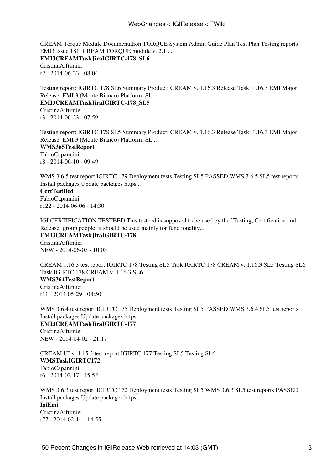CREAM Torque Module Documentation TORQUE System Admin Guide Plan Test Plan Testing reports EMI3 Issue 181: CREAM TORQUE module v. 2.1.... **[EMI3CREAMTaskJiraIGIRTC-178\\_SL6](https://wiki-igi.cnaf.infn.it/twiki/bin/view/IGIRelease/EMI3CREAMTaskJiraIGIRTC-178_SL6)** [CristinaAiftimiei](https://wiki-igi.cnaf.infn.it/twiki/bin/edit/Main/CristinaAiftimiei?topicparent=IGIRelease.WebChanges;nowysiwyg=0) r2 - [2014-06-23 - 08:04](https://wiki-igi.cnaf.infn.it/twiki/bin/rdiff/IGIRelease/EMI3CREAMTaskJiraIGIRTC-178_SL6) 

Testing report: IGIRTC 178 SL6 Summary Product: CREAM v. 1.16.3 Release Task: 1.16.3 EMI Major Release: EMI 3 (Monte Bianco) Platform: SL... **[EMI3CREAMTaskJiraIGIRTC-178\\_SL5](https://wiki-igi.cnaf.infn.it/twiki/bin/view/IGIRelease/EMI3CREAMTaskJiraIGIRTC-178_SL5)** [CristinaAiftimiei](https://wiki-igi.cnaf.infn.it/twiki/bin/edit/Main/CristinaAiftimiei?topicparent=IGIRelease.WebChanges;nowysiwyg=0)

r3 - [2014-06-23 - 07:59](https://wiki-igi.cnaf.infn.it/twiki/bin/rdiff/IGIRelease/EMI3CREAMTaskJiraIGIRTC-178_SL5) 

Testing report: IGIRTC 178 SL5 Summary Product: CREAM v. 1.16.3 Release Task: 1.16.3 EMI Major Release: EMI 3 (Monte Bianco) Platform: SL... **[WMS365TestReport](https://wiki-igi.cnaf.infn.it/twiki/bin/view/IGIRelease/WMS365TestReport)** [FabioCapannini](https://wiki-igi.cnaf.infn.it/twiki/bin/edit/Main/FabioCapannini?topicparent=IGIRelease.WebChanges;nowysiwyg=0) r8 - [2014-06-10 - 09:49](https://wiki-igi.cnaf.infn.it/twiki/bin/rdiff/IGIRelease/WMS365TestReport) 

WMS 3.6.5 test report IGIRTC 179 Deployment tests Testing SL5 PASSED WMS 3.6.5 SL5 test reports Install packages Update packages https...

# **[CertTestBed](https://wiki-igi.cnaf.infn.it/twiki/bin/view/IGIRelease/CertTestBed)**

[FabioCapannini](https://wiki-igi.cnaf.infn.it/twiki/bin/edit/Main/FabioCapannini?topicparent=IGIRelease.WebChanges;nowysiwyg=0) r122 - [2014-06-06 - 14:30](https://wiki-igi.cnaf.infn.it/twiki/bin/rdiff/IGIRelease/CertTestBed) 

IGI CERTIFICATION TESTBED This testbed is supposed to be used by the `Testing, Certification and Release` group people; it should be used mainly for functionality... **[EMI3CREAMTaskJiraIGIRTC-178](https://wiki-igi.cnaf.infn.it/twiki/bin/view/IGIRelease/EMI3CREAMTaskJiraIGIRTC-178)** [CristinaAiftimiei](https://wiki-igi.cnaf.infn.it/twiki/bin/edit/Main/CristinaAiftimiei?topicparent=IGIRelease.WebChanges;nowysiwyg=0) NEW - [2014-06-05 - 10:03](https://wiki-igi.cnaf.infn.it/twiki/bin/rdiff/IGIRelease/EMI3CREAMTaskJiraIGIRTC-178) 

CREAM 1.16.3 test report IGIRTC 178 Testing SL5 Task IGIRTC 178 CREAM v. 1.16.3 SL5 Testing SL6 Task IGIRTC 178 CREAM v. 1.16.3 SL6 **[WMS364TestReport](https://wiki-igi.cnaf.infn.it/twiki/bin/view/IGIRelease/WMS364TestReport)** [CristinaAiftimiei](https://wiki-igi.cnaf.infn.it/twiki/bin/edit/Main/CristinaAiftimiei?topicparent=IGIRelease.WebChanges;nowysiwyg=0)

r11 - [2014-05-29 - 08:50](https://wiki-igi.cnaf.infn.it/twiki/bin/rdiff/IGIRelease/WMS364TestReport)

WMS 3.6.4 test report IGIRTC 175 Deployment tests Testing SL5 PASSED WMS 3.6.4 SL5 test reports Install packages Update packages https... **[EMI3CREAMTaskJiraIGIRTC-177](https://wiki-igi.cnaf.infn.it/twiki/bin/view/IGIRelease/EMI3CREAMTaskJiraIGIRTC-177)**

[CristinaAiftimiei](https://wiki-igi.cnaf.infn.it/twiki/bin/edit/Main/CristinaAiftimiei?topicparent=IGIRelease.WebChanges;nowysiwyg=0) NEW - [2014-04-02 - 21:17](https://wiki-igi.cnaf.infn.it/twiki/bin/rdiff/IGIRelease/EMI3CREAMTaskJiraIGIRTC-177) 

CREAM UI v. 1.15.3 test report IGIRTC 177 Testing SL5 Testing SL6 **[WMSTaskIGIRTC172](https://wiki-igi.cnaf.infn.it/twiki/bin/view/IGIRelease/WMSTaskIGIRTC172)** [FabioCapannini](https://wiki-igi.cnaf.infn.it/twiki/bin/edit/Main/FabioCapannini?topicparent=IGIRelease.WebChanges;nowysiwyg=0) r6 - [2014-02-17 - 15:52](https://wiki-igi.cnaf.infn.it/twiki/bin/rdiff/IGIRelease/WMSTaskIGIRTC172) 

WMS 3.6.3 test report IGIRTC 172 Deployment tests Testing SL5 WMS 3.6.3 SL5 test reports PASSED Install packages Update packages https... **[IgiEmi](https://wiki-igi.cnaf.infn.it/twiki/bin/view/IGIRelease/IgiEmi)** [CristinaAiftimiei](https://wiki-igi.cnaf.infn.it/twiki/bin/edit/Main/CristinaAiftimiei?topicparent=IGIRelease.WebChanges;nowysiwyg=0) r77 - [2014-02-14 - 14:55](https://wiki-igi.cnaf.infn.it/twiki/bin/rdiff/IGIRelease/IgiEmi)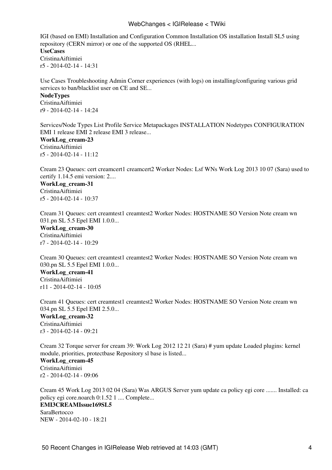## WebChanges < IGIRelease < TWiki

IGI (based on EMI) Installation and Configuration Common Installation OS installation Install SL5 using repository (CERN mirror) or one of the supported OS (RHEL... **[UseCases](https://wiki-igi.cnaf.infn.it/twiki/bin/view/IGIRelease/UseCases)** [CristinaAiftimiei](https://wiki-igi.cnaf.infn.it/twiki/bin/edit/Main/CristinaAiftimiei?topicparent=IGIRelease.WebChanges;nowysiwyg=0) r5 - [2014-02-14 - 14:31](https://wiki-igi.cnaf.infn.it/twiki/bin/rdiff/IGIRelease/UseCases) 

Use Cases Troubleshooting Admin Corner experiences (with logs) on installing/configuring various grid services to ban/blacklist user on CE and SE...

#### **[NodeTypes](https://wiki-igi.cnaf.infn.it/twiki/bin/view/IGIRelease/NodeTypes)**

[CristinaAiftimiei](https://wiki-igi.cnaf.infn.it/twiki/bin/edit/Main/CristinaAiftimiei?topicparent=IGIRelease.WebChanges;nowysiwyg=0) r9 - [2014-02-14 - 14:24](https://wiki-igi.cnaf.infn.it/twiki/bin/rdiff/IGIRelease/NodeTypes) 

Services/Node Types List Profile Service Metapackages INSTALLATION Nodetypes CONFIGURATION EMI 1 release EMI 2 release EMI 3 release...

**[WorkLog\\_cream-23](https://wiki-igi.cnaf.infn.it/twiki/bin/view/IGIRelease/WorkLog_cream-23)** [CristinaAiftimiei](https://wiki-igi.cnaf.infn.it/twiki/bin/edit/Main/CristinaAiftimiei?topicparent=IGIRelease.WebChanges;nowysiwyg=0) r5 - [2014-02-14 - 11:12](https://wiki-igi.cnaf.infn.it/twiki/bin/rdiff/IGIRelease/WorkLog_cream-23) 

Cream 23 Queues: cert creamcert1 creamcert2 Worker Nodes: Lsf WNs Work Log 2013 10 07 (Sara) used to certify 1.14.5 emi version: 2....

# **[WorkLog\\_cream-31](https://wiki-igi.cnaf.infn.it/twiki/bin/view/IGIRelease/WorkLog_cream-31)** [CristinaAiftimiei](https://wiki-igi.cnaf.infn.it/twiki/bin/edit/Main/CristinaAiftimiei?topicparent=IGIRelease.WebChanges;nowysiwyg=0)

r5 - [2014-02-14 - 10:37](https://wiki-igi.cnaf.infn.it/twiki/bin/rdiff/IGIRelease/WorkLog_cream-31) 

Cream 31 Queues: cert creamtest1 creamtest2 Worker Nodes: HOSTNAME SO Version Note cream wn 031.pn SL 5.5 Epel EMI 1.0.0...

**[WorkLog\\_cream-30](https://wiki-igi.cnaf.infn.it/twiki/bin/view/IGIRelease/WorkLog_cream-30)** [CristinaAiftimiei](https://wiki-igi.cnaf.infn.it/twiki/bin/edit/Main/CristinaAiftimiei?topicparent=IGIRelease.WebChanges;nowysiwyg=0) r7 - [2014-02-14 - 10:29](https://wiki-igi.cnaf.infn.it/twiki/bin/rdiff/IGIRelease/WorkLog_cream-30) 

Cream 30 Queues: cert creamtest1 creamtest2 Worker Nodes: HOSTNAME SO Version Note cream wn 030.pn SL 5.5 Epel EMI 1.0.0... **[WorkLog\\_cream-41](https://wiki-igi.cnaf.infn.it/twiki/bin/view/IGIRelease/WorkLog_cream-41)** [CristinaAiftimiei](https://wiki-igi.cnaf.infn.it/twiki/bin/edit/Main/CristinaAiftimiei?topicparent=IGIRelease.WebChanges;nowysiwyg=0) r11 - [2014-02-14 - 10:05](https://wiki-igi.cnaf.infn.it/twiki/bin/rdiff/IGIRelease/WorkLog_cream-41)

Cream 41 Queues: cert creamtest1 creamtest2 Worker Nodes: HOSTNAME SO Version Note cream wn 034.pn SL 5.5 Epel EMI 2.5.0... **[WorkLog\\_cream-32](https://wiki-igi.cnaf.infn.it/twiki/bin/view/IGIRelease/WorkLog_cream-32)** [CristinaAiftimiei](https://wiki-igi.cnaf.infn.it/twiki/bin/edit/Main/CristinaAiftimiei?topicparent=IGIRelease.WebChanges;nowysiwyg=0) r3 - [2014-02-14 - 09:21](https://wiki-igi.cnaf.infn.it/twiki/bin/rdiff/IGIRelease/WorkLog_cream-32) 

Cream 32 Torque server for cream 39: Work Log 2012 12 21 (Sara) # yum update Loaded plugins: kernel module, priorities, protectbase Repository sl base is listed... **[WorkLog\\_cream-45](https://wiki-igi.cnaf.infn.it/twiki/bin/view/IGIRelease/WorkLog_cream-45)** [CristinaAiftimiei](https://wiki-igi.cnaf.infn.it/twiki/bin/edit/Main/CristinaAiftimiei?topicparent=IGIRelease.WebChanges;nowysiwyg=0) r2 - [2014-02-14 - 09:06](https://wiki-igi.cnaf.infn.it/twiki/bin/rdiff/IGIRelease/WorkLog_cream-45) 

Cream 45 Work Log 2013 02 04 (Sara) Was ARGUS Server yum update ca policy egi core ....... Installed: ca policy egi core.noarch 0:1.52 1 .... Complete... **[EMI3CREAMIssue169SL5](https://wiki-igi.cnaf.infn.it/twiki/bin/view/IGIRelease/EMI3CREAMIssue169SL5) [SaraBertocco](https://wiki-igi.cnaf.infn.it/twiki/bin/edit/Main/SaraBertocco?topicparent=IGIRelease.WebChanges;nowysiwyg=0)** NEW - [2014-02-10 - 18:21](https://wiki-igi.cnaf.infn.it/twiki/bin/rdiff/IGIRelease/EMI3CREAMIssue169SL5)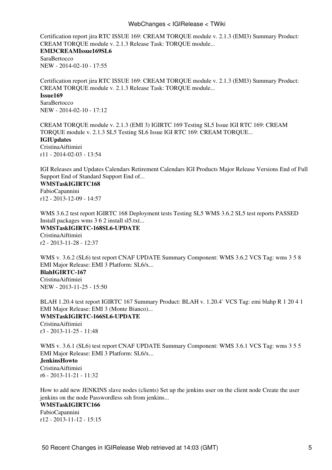## WebChanges < IGIRelease < TWiki

Certification report jira RTC ISSUE 169: CREAM TORQUE module v. 2.1.3 (EMI3) Summary Product: CREAM TORQUE module v. 2.1.3 Release Task: TORQUE module... **[EMI3CREAMIssue169SL6](https://wiki-igi.cnaf.infn.it/twiki/bin/view/IGIRelease/EMI3CREAMIssue169SL6) [SaraBertocco](https://wiki-igi.cnaf.infn.it/twiki/bin/edit/Main/SaraBertocco?topicparent=IGIRelease.WebChanges;nowysiwyg=0)** NEW - [2014-02-10 - 17:55](https://wiki-igi.cnaf.infn.it/twiki/bin/rdiff/IGIRelease/EMI3CREAMIssue169SL6) 

Certification report jira RTC ISSUE 169: CREAM TORQUE module v. 2.1.3 (EMI3) Summary Product: CREAM TORQUE module v. 2.1.3 Release Task: TORQUE module... **[Issue169](https://wiki-igi.cnaf.infn.it/twiki/bin/view/IGIRelease/Issue169) [SaraBertocco](https://wiki-igi.cnaf.infn.it/twiki/bin/edit/Main/SaraBertocco?topicparent=IGIRelease.WebChanges;nowysiwyg=0)** NEW - [2014-02-10 - 17:12](https://wiki-igi.cnaf.infn.it/twiki/bin/rdiff/IGIRelease/Issue169) 

CREAM TORQUE module v. 2.1.3 (EMI 3) IGIRTC 169 Testing SL5 Issue IGI RTC 169: CREAM TORQUE module v. 2.1.3 SL5 Testing SL6 Issue IGI RTC 169: CREAM TORQUE... **[IGIUpdates](https://wiki-igi.cnaf.infn.it/twiki/bin/view/IGIRelease/IGIUpdates)** [CristinaAiftimiei](https://wiki-igi.cnaf.infn.it/twiki/bin/edit/Main/CristinaAiftimiei?topicparent=IGIRelease.WebChanges;nowysiwyg=0) r11 - [2014-02-03 - 13:54](https://wiki-igi.cnaf.infn.it/twiki/bin/rdiff/IGIRelease/IGIUpdates)

IGI Releases and Updates Calendars Retirement Calendars IGI Products Major Release Versions End of Full Support End of Standard Support End of...

# **[WMSTaskIGIRTC168](https://wiki-igi.cnaf.infn.it/twiki/bin/view/IGIRelease/WMSTaskIGIRTC168)**

[FabioCapannini](https://wiki-igi.cnaf.infn.it/twiki/bin/edit/Main/FabioCapannini?topicparent=IGIRelease.WebChanges;nowysiwyg=0) r12 - [2013-12-09 - 14:57](https://wiki-igi.cnaf.infn.it/twiki/bin/rdiff/IGIRelease/WMSTaskIGIRTC168)

WMS 3.6.2 test report IGIRTC 168 Deployment tests Testing SL5 WMS 3.6.2 SL5 test reports PASSED Install packages wms 3 6 2 install sl5.txt... **[WMSTaskIGIRTC-168SL6-UPDATE](https://wiki-igi.cnaf.infn.it/twiki/bin/view/IGIRelease/WMSTaskIGIRTC-168SL6-UPDATE)** [CristinaAiftimiei](https://wiki-igi.cnaf.infn.it/twiki/bin/edit/Main/CristinaAiftimiei?topicparent=IGIRelease.WebChanges;nowysiwyg=0) r2 - [2013-11-28 - 12:37](https://wiki-igi.cnaf.infn.it/twiki/bin/rdiff/IGIRelease/WMSTaskIGIRTC-168SL6-UPDATE) 

WMS v. 3.6.2 (SL6) test report CNAF UPDATE Summary Component: WMS 3.6.2 VCS Tag: wms 3 5 8 EMI Major Release: EMI 3 Platform: SL6/x... **[BlahIGIRTC-167](https://wiki-igi.cnaf.infn.it/twiki/bin/view/IGIRelease/BlahIGIRTC-167)** [CristinaAiftimiei](https://wiki-igi.cnaf.infn.it/twiki/bin/edit/Main/CristinaAiftimiei?topicparent=IGIRelease.WebChanges;nowysiwyg=0) NEW - [2013-11-25 - 15:50](https://wiki-igi.cnaf.infn.it/twiki/bin/rdiff/IGIRelease/BlahIGIRTC-167) 

BLAH 1.20.4 test report IGIRTC 167 Summary Product: BLAH v. 1.20.4` VCS Tag: emi blahp R 1 20 4 1 EMI Major Release: EMI 3 (Monte Bianco)... **[WMSTaskIGIRTC-166SL6-UPDATE](https://wiki-igi.cnaf.infn.it/twiki/bin/view/IGIRelease/WMSTaskIGIRTC-166SL6-UPDATE)** [CristinaAiftimiei](https://wiki-igi.cnaf.infn.it/twiki/bin/edit/Main/CristinaAiftimiei?topicparent=IGIRelease.WebChanges;nowysiwyg=0) r3 - [2013-11-25 - 11:48](https://wiki-igi.cnaf.infn.it/twiki/bin/rdiff/IGIRelease/WMSTaskIGIRTC-166SL6-UPDATE) 

WMS v. 3.6.1 (SL6) test report CNAF UPDATE Summary Component: WMS 3.6.1 VCS Tag: wms 3.5.5 EMI Major Release: EMI 3 Platform: SL6/x...

# **[JenkinsHowto](https://wiki-igi.cnaf.infn.it/twiki/bin/view/IGIRelease/JenkinsHowto)** [CristinaAiftimiei](https://wiki-igi.cnaf.infn.it/twiki/bin/edit/Main/CristinaAiftimiei?topicparent=IGIRelease.WebChanges;nowysiwyg=0) r6 - [2013-11-21 - 11:32](https://wiki-igi.cnaf.infn.it/twiki/bin/rdiff/IGIRelease/JenkinsHowto)

How to add new JENKINS slave nodes (clients) Set up the jenkins user on the client node Create the user jenkins on the node Passwordless ssh from jenkins... **[WMSTaskIGIRTC166](https://wiki-igi.cnaf.infn.it/twiki/bin/view/IGIRelease/WMSTaskIGIRTC166)** [FabioCapannini](https://wiki-igi.cnaf.infn.it/twiki/bin/edit/Main/FabioCapannini?topicparent=IGIRelease.WebChanges;nowysiwyg=0) r12 - [2013-11-12 - 15:15](https://wiki-igi.cnaf.infn.it/twiki/bin/rdiff/IGIRelease/WMSTaskIGIRTC166)